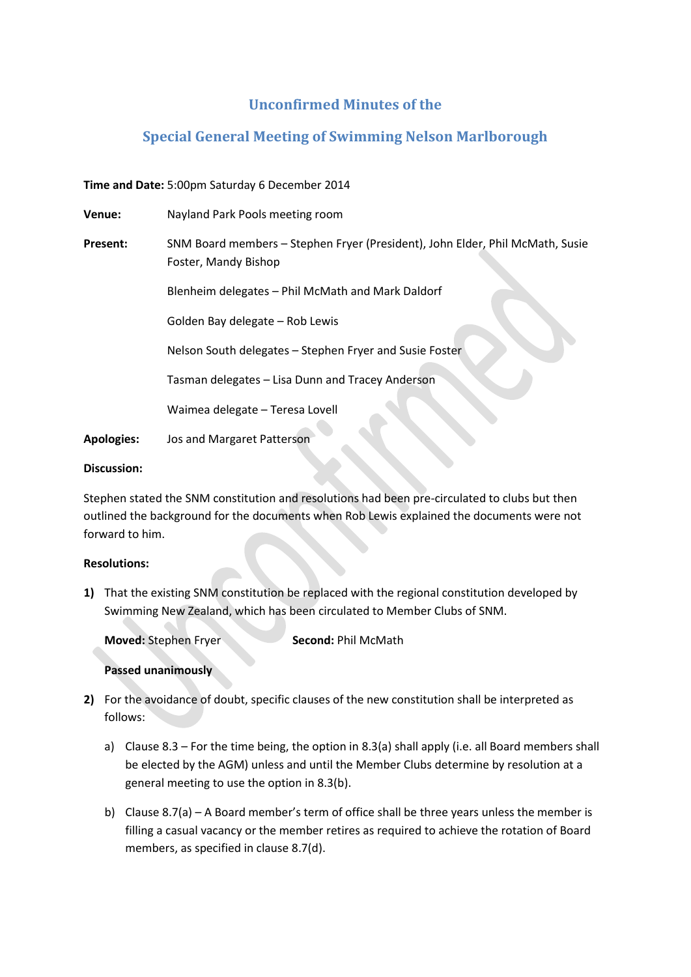# **Unconfirmed Minutes of the**

# **Special General Meeting of Swimming Nelson Marlborough**

## **Time and Date:** 5:00pm Saturday 6 December 2014

| Venue:            | Nayland Park Pools meeting room                                                                       |
|-------------------|-------------------------------------------------------------------------------------------------------|
| <b>Present:</b>   | SNM Board members - Stephen Fryer (President), John Elder, Phil McMath, Susie<br>Foster, Mandy Bishop |
|                   | Blenheim delegates - Phil McMath and Mark Daldorf                                                     |
|                   | Golden Bay delegate - Rob Lewis                                                                       |
|                   | Nelson South delegates - Stephen Fryer and Susie Foster                                               |
|                   | Tasman delegates - Lisa Dunn and Tracey Anderson                                                      |
|                   | Waimea delegate - Teresa Lovell                                                                       |
| <b>Apologies:</b> | Jos and Margaret Patterson                                                                            |

#### **Discussion:**

Stephen stated the SNM constitution and resolutions had been pre-circulated to clubs but then outlined the background for the documents when Rob Lewis explained the documents were not forward to him.

### **Resolutions:**

**1)** That the existing SNM constitution be replaced with the regional constitution developed by Swimming New Zealand, which has been circulated to Member Clubs of SNM.

**Moved:** Stephen Fryer **Second:** Phil McMath

### **Passed unanimously**

- **2)** For the avoidance of doubt, specific clauses of the new constitution shall be interpreted as follows:
	- a) Clause 8.3 For the time being, the option in 8.3(a) shall apply (i.e. all Board members shall be elected by the AGM) unless and until the Member Clubs determine by resolution at a general meeting to use the option in 8.3(b).
	- b) Clause 8.7(a) A Board member's term of office shall be three years unless the member is filling a casual vacancy or the member retires as required to achieve the rotation of Board members, as specified in clause 8.7(d).